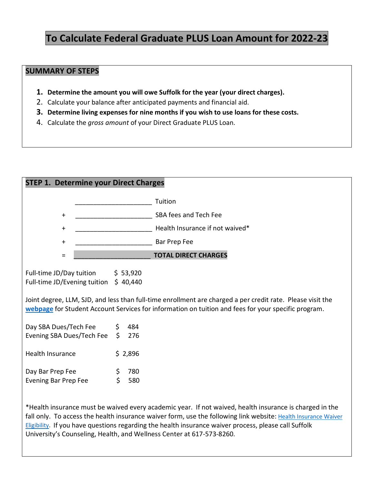## **To Calculate Federal Graduate PLUS Loan Amount for 2022-23**

## **SUMMARY OF STEPS**

- **1. Determine the amount you will owe Suffolk for the year (your direct charges).**
- 2. Calculate your balance after anticipated payments and financial aid.
- **3. Determine living expenses for nine months if you wish to use loans for these costs.**
- 4. Calculate the *gross amount* of your Direct Graduate PLUS Loan.

| <b>STEP 1. Determine your Direct Charges</b>                                                                                                                                                                                                                                                                |                                   |  |  |  |
|-------------------------------------------------------------------------------------------------------------------------------------------------------------------------------------------------------------------------------------------------------------------------------------------------------------|-----------------------------------|--|--|--|
|                                                                                                                                                                                                                                                                                                             | Tuition                           |  |  |  |
| $\ddot{}$                                                                                                                                                                                                                                                                                                   | SBA fees and Tech Fee             |  |  |  |
| $\ddag$                                                                                                                                                                                                                                                                                                     | Health Insurance if not waived*   |  |  |  |
| $\mathbf +$                                                                                                                                                                                                                                                                                                 | Bar Prep Fee                      |  |  |  |
| Ξ                                                                                                                                                                                                                                                                                                           | <b>TOTAL DIRECT CHARGES</b>       |  |  |  |
| Full-time JD/Day tuition $\frac{1}{5}$ 53,920<br>Full-time JD/Evening tuition \$40,440<br>Joint degree, LLM, SJD, and less than full-time enrollment are charged a per credit rate. Please visit the<br>webpage for Student Account Services for information on tuition and fees for your specific program. |                                   |  |  |  |
| Day SBA Dues/Tech Fee<br>Evening SBA Dues/Tech Fee                                                                                                                                                                                                                                                          | 484<br>\$.<br>$\mathsf{S}$<br>276 |  |  |  |
| Health Insurance                                                                                                                                                                                                                                                                                            | \$2,896                           |  |  |  |
| Day Bar Prep Fee<br><b>Evening Bar Prep Fee</b>                                                                                                                                                                                                                                                             | \$<br>780<br>\$<br>580            |  |  |  |
| *Health insurance must be waived every academic year. If not waived, health insurance is charged in the<br>followly To accoss the boolth insurance waiver form use the following link website: Health Jesurence Weiver                                                                                      |                                   |  |  |  |

fall only. To access the health insurance waiver form, use the following link website: Health Insurance Waiver [Eligibility.](https://www.suffolk.edu/student-life/health-wellness/healthcare-insurance/insurance/sship-waiver-eligibility) If you have questions regarding the health insurance waiver process, please call Suffolk University's Counseling, Health, and Wellness Center at 617-573-8260.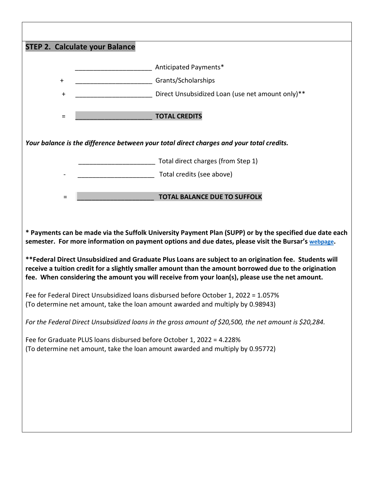| <b>STEP 2. Calculate your Balance</b>                                                                                                                                                                                                                                                                               |                                                  |  |  |  |
|---------------------------------------------------------------------------------------------------------------------------------------------------------------------------------------------------------------------------------------------------------------------------------------------------------------------|--------------------------------------------------|--|--|--|
|                                                                                                                                                                                                                                                                                                                     | Anticipated Payments*                            |  |  |  |
| $\ddot{}$                                                                                                                                                                                                                                                                                                           | Grants/Scholarships                              |  |  |  |
| $\ddot{}$                                                                                                                                                                                                                                                                                                           | Direct Unsubsidized Loan (use net amount only)** |  |  |  |
| $=$                                                                                                                                                                                                                                                                                                                 | <b>TOTAL CREDITS</b>                             |  |  |  |
| Your balance is the difference between your total direct charges and your total credits.                                                                                                                                                                                                                            |                                                  |  |  |  |
|                                                                                                                                                                                                                                                                                                                     | Total direct charges (from Step 1)               |  |  |  |
|                                                                                                                                                                                                                                                                                                                     | Total credits (see above)                        |  |  |  |
| Ξ                                                                                                                                                                                                                                                                                                                   | <b>TOTAL BALANCE DUE TO SUFFOLK</b>              |  |  |  |
|                                                                                                                                                                                                                                                                                                                     |                                                  |  |  |  |
| * Payments can be made via the Suffolk University Payment Plan (SUPP) or by the specified due date each<br>semester. For more information on payment options and due dates, please visit the Bursar's webpage.                                                                                                      |                                                  |  |  |  |
| **Federal Direct Unsubsidized and Graduate Plus Loans are subject to an origination fee. Students will<br>receive a tuition credit for a slightly smaller amount than the amount borrowed due to the origination<br>fee. When considering the amount you will receive from your loan(s), please use the net amount. |                                                  |  |  |  |
| Fee for Federal Direct Unsubsidized loans disbursed before October 1, 2022 = 1.057%<br>(To determine net amount, take the loan amount awarded and multiply by 0.98943)                                                                                                                                              |                                                  |  |  |  |
| For the Federal Direct Unsubsidized loans in the gross amount of \$20,500, the net amount is \$20,284.                                                                                                                                                                                                              |                                                  |  |  |  |
| Fee for Graduate PLUS loans disbursed before October 1, 2022 = 4.228%<br>(To determine net amount, take the loan amount awarded and multiply by 0.95772)                                                                                                                                                            |                                                  |  |  |  |
|                                                                                                                                                                                                                                                                                                                     |                                                  |  |  |  |
|                                                                                                                                                                                                                                                                                                                     |                                                  |  |  |  |
|                                                                                                                                                                                                                                                                                                                     |                                                  |  |  |  |
|                                                                                                                                                                                                                                                                                                                     |                                                  |  |  |  |
|                                                                                                                                                                                                                                                                                                                     |                                                  |  |  |  |